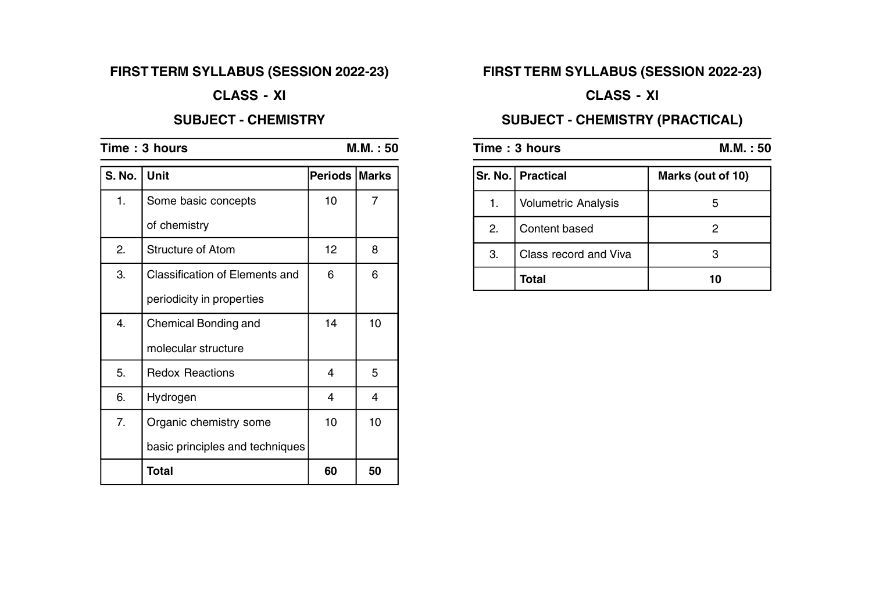# **FIRST TERM SYLLABUS (SESSION 2022-23)**

## **CLASS - XI**

#### **SUBJECT - CHEMISTRY**

| Time: 3 hours |                                       | M.M. : 50      |                |
|---------------|---------------------------------------|----------------|----------------|
| <b>S. No.</b> | <b>Unit</b>                           | <b>Periods</b> | <b>Marks</b>   |
| 1.            | Some basic concepts                   | 10             | $\overline{7}$ |
|               | of chemistry                          |                |                |
| 2.            | Structure of Atom                     | 12             | 8              |
| 3.            | <b>Classification of Elements and</b> | 6              | 6              |
|               | periodicity in properties             |                |                |
| 4.            | Chemical Bonding and                  | 14             | 10             |
|               | molecular structure                   |                |                |
| 5.            | <b>Redox Reactions</b>                | 4              | 5              |
| 6.            | Hydrogen                              | 4              | 4              |
| 7.            | Organic chemistry some                | 10             | 10             |
|               | basic principles and techniques       |                |                |
|               | <b>Total</b>                          | 60             | 50             |

# **FIRST TERM SYLLABUS (SESSION 2022-23)**

# **CLASS - XI**

# **SUBJECT - CHEMISTRY (PRACTICAL)**

| Time: 3 hours |                            | M.M.:50           |  |
|---------------|----------------------------|-------------------|--|
|               | Sr. No.   Practical        | Marks (out of 10) |  |
| 1.            | <b>Volumetric Analysis</b> | h                 |  |
| 2.            | Content based              |                   |  |
| 3.            | Class record and Viva      |                   |  |
|               | <b>Total</b>               |                   |  |